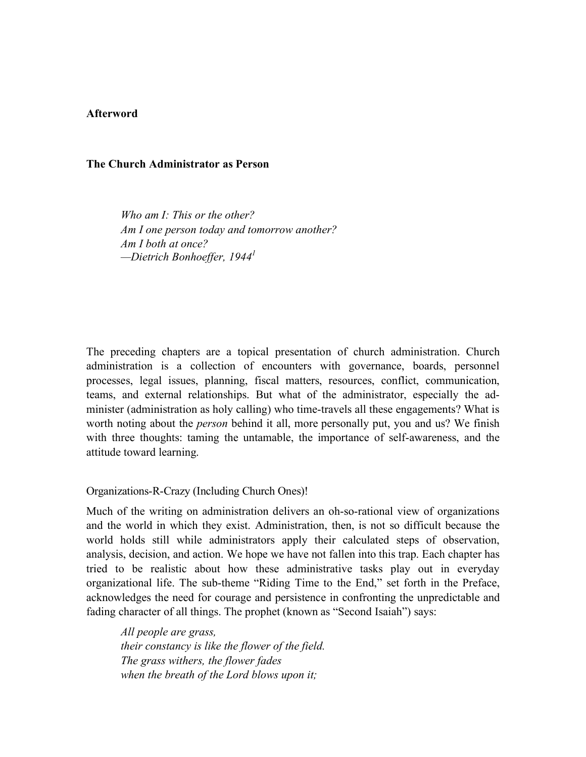# **Afterword**

### **The Church Administrator as Person**

*Who am I: This or the other? Am I one person today and tomorrow another? Am I both at once? —Dietrich Bonhoeffer, 19441*

The preceding chapters are a topical presentation of church administration. Church administration is a collection of encounters with governance, boards, personnel processes, legal issues, planning, fiscal matters, resources, conflict, communication, teams, and external relationships. But what of the administrator, especially the administer (administration as holy calling) who time-travels all these engagements? What is worth noting about the *person* behind it all, more personally put, you and us? We finish with three thoughts: taming the untamable, the importance of self-awareness, and the attitude toward learning.

Organizations-R-Crazy (Including Church Ones)!

Much of the writing on administration delivers an oh-so-rational view of organizations and the world in which they exist. Administration, then, is not so difficult because the world holds still while administrators apply their calculated steps of observation, analysis, decision, and action. We hope we have not fallen into this trap. Each chapter has tried to be realistic about how these administrative tasks play out in everyday organizational life. The sub-theme "Riding Time to the End," set forth in the Preface, acknowledges the need for courage and persistence in confronting the unpredictable and fading character of all things. The prophet (known as "Second Isaiah") says:

*All people are grass, their constancy is like the flower of the field. The grass withers, the flower fades when the breath of the Lord blows upon it;*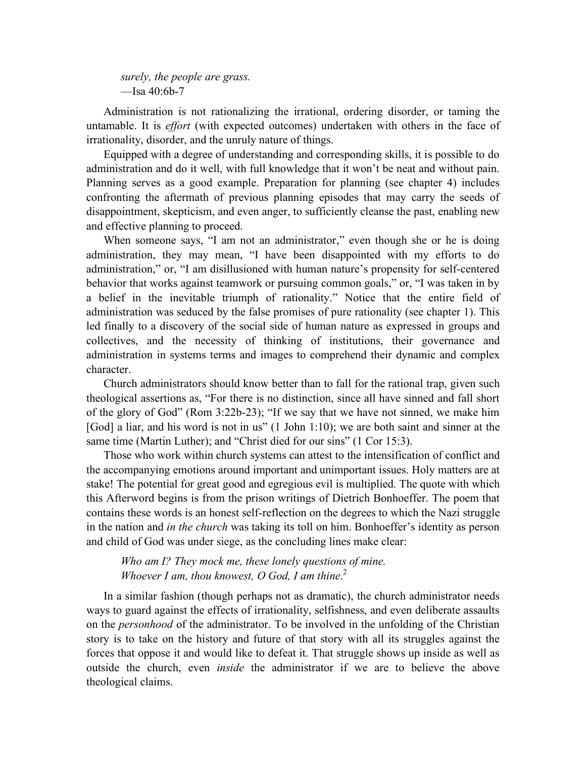*surely, the people are grass.*  $-$ Isa 40:6b-7

Administration is not rationalizing the irrational, ordering disorder, or taming the untamable. It is *effort* (with expected outcomes) undertaken with others in the face of irrationality, disorder, and the unruly nature of things.

Equipped with a degree of understanding and corresponding skills, it is possible to do administration and do it well, with full knowledge that it won't be neat and without pain. Planning serves as a good example. Preparation for planning (see chapter 4) includes confronting the aftermath of previous planning episodes that may carry the seeds of disappointment, skepticism, and even anger, to sufficiently cleanse the past, enabling new and effective planning to proceed.

When someone says, "I am not an administrator," even though she or he is doing administration, they may mean, "I have been disappointed with my efforts to do administration," or, "I am disillusioned with human nature's propensity for self-centered behavior that works against teamwork or pursuing common goals," or, "I was taken in by a belief in the inevitable triumph of rationality." Notice that the entire field of administration was seduced by the false promises of pure rationality (see chapter 1). This led finally to a discovery of the social side of human nature as expressed in groups and collectives, and the necessity of thinking of institutions, their governance and administration in systems terms and images to comprehend their dynamic and complex character.

Church administrators should know better than to fall for the rational trap, given such theological assertions as, "For there is no distinction, since all have sinned and fall short of the glory of God" (Rom 3:22b-23); "If we say that we have not sinned, we make him [God] a liar, and his word is not in us" (1 John 1:10); we are both saint and sinner at the same time (Martin Luther); and "Christ died for our sins" (1 Cor 15:3).

Those who work within church systems can attest to the intensification of conflict and the accompanying emotions around important and unimportant issues. Holy matters are at stake! The potential for great good and egregious evil is multiplied. The quote with which this Afterword begins is from the prison writings of Dietrich Bonhoeffer. The poem that contains these words is an honest self-reflection on the degrees to which the Nazi struggle in the nation and *in the church* was taking its toll on him. Bonhoeffer's identity as person and child of God was under siege, as the concluding lines make clear:

*Who am I? They mock me, these lonely questions of mine. Whoever I am, thou knowest, O God, I am thine*. 2

In a similar fashion (though perhaps not as dramatic), the church administrator needs ways to guard against the effects of irrationality, selfishness, and even deliberate assaults on the *personhood* of the administrator. To be involved in the unfolding of the Christian story is to take on the history and future of that story with all its struggles against the forces that oppose it and would like to defeat it. That struggle shows up inside as well as outside the church, even *inside* the administrator if we are to believe the above theological claims.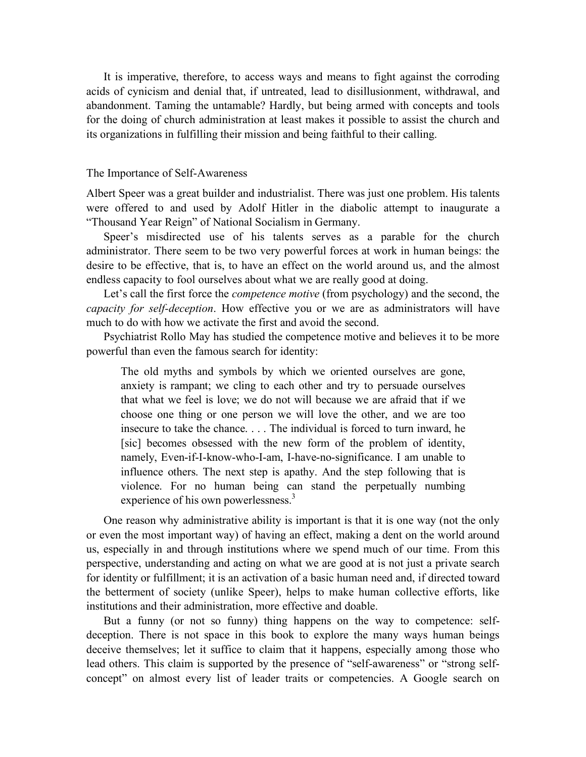It is imperative, therefore, to access ways and means to fight against the corroding acids of cynicism and denial that, if untreated, lead to disillusionment, withdrawal, and abandonment. Taming the untamable? Hardly, but being armed with concepts and tools for the doing of church administration at least makes it possible to assist the church and its organizations in fulfilling their mission and being faithful to their calling.

## The Importance of Self-Awareness

Albert Speer was a great builder and industrialist. There was just one problem. His talents were offered to and used by Adolf Hitler in the diabolic attempt to inaugurate a "Thousand Year Reign" of National Socialism in Germany.

Speer's misdirected use of his talents serves as a parable for the church administrator. There seem to be two very powerful forces at work in human beings: the desire to be effective, that is, to have an effect on the world around us, and the almost endless capacity to fool ourselves about what we are really good at doing.

Let's call the first force the *competence motive* (from psychology) and the second, the *capacity for self-deception*. How effective you or we are as administrators will have much to do with how we activate the first and avoid the second.

Psychiatrist Rollo May has studied the competence motive and believes it to be more powerful than even the famous search for identity:

The old myths and symbols by which we oriented ourselves are gone, anxiety is rampant; we cling to each other and try to persuade ourselves that what we feel is love; we do not will because we are afraid that if we choose one thing or one person we will love the other, and we are too insecure to take the chance. . . . The individual is forced to turn inward, he [sic] becomes obsessed with the new form of the problem of identity, namely, Even-if-I-know-who-I-am, I-have-no-significance. I am unable to influence others. The next step is apathy. And the step following that is violence. For no human being can stand the perpetually numbing experience of his own powerlessness.<sup>3</sup>

One reason why administrative ability is important is that it is one way (not the only or even the most important way) of having an effect, making a dent on the world around us, especially in and through institutions where we spend much of our time. From this perspective, understanding and acting on what we are good at is not just a private search for identity or fulfillment; it is an activation of a basic human need and, if directed toward the betterment of society (unlike Speer), helps to make human collective efforts, like institutions and their administration, more effective and doable.

But a funny (or not so funny) thing happens on the way to competence: selfdeception. There is not space in this book to explore the many ways human beings deceive themselves; let it suffice to claim that it happens, especially among those who lead others. This claim is supported by the presence of "self-awareness" or "strong selfconcept" on almost every list of leader traits or competencies. A Google search on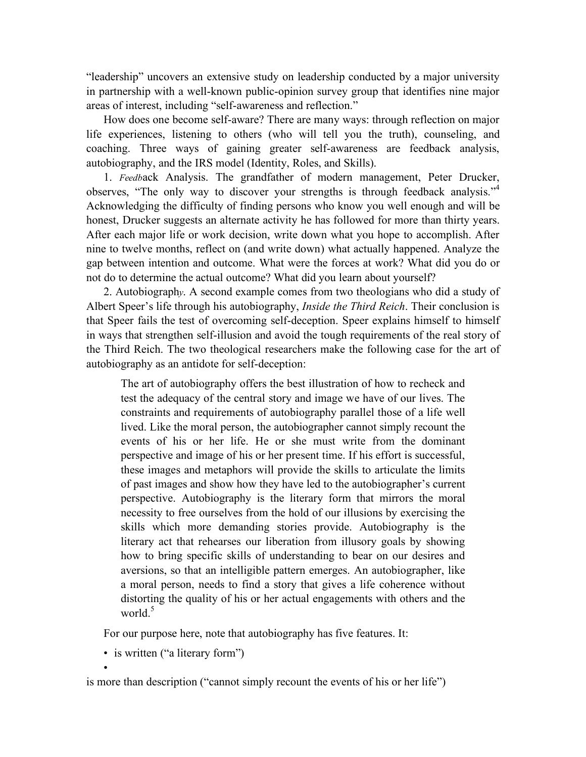"leadership" uncovers an extensive study on leadership conducted by a major university in partnership with a well-known public-opinion survey group that identifies nine major areas of interest, including "self-awareness and reflection."

How does one become self-aware? There are many ways: through reflection on major life experiences, listening to others (who will tell you the truth), counseling, and coaching. Three ways of gaining greater self-awareness are feedback analysis, autobiography, and the IRS model (Identity, Roles, and Skills).

1. *Feedb*ack Analysis. The grandfather of modern management, Peter Drucker, observes, "The only way to discover your strengths is through feedback analysis."<sup>4</sup> Acknowledging the difficulty of finding persons who know you well enough and will be honest, Drucker suggests an alternate activity he has followed for more than thirty years. After each major life or work decision, write down what you hope to accomplish. After nine to twelve months, reflect on (and write down) what actually happened. Analyze the gap between intention and outcome. What were the forces at work? What did you do or not do to determine the actual outcome? What did you learn about yourself?

2. Autobiograph*y*. A second example comes from two theologians who did a study of Albert Speer's life through his autobiography, *Inside the Third Reich*. Their conclusion is that Speer fails the test of overcoming self-deception. Speer explains himself to himself in ways that strengthen self-illusion and avoid the tough requirements of the real story of the Third Reich. The two theological researchers make the following case for the art of autobiography as an antidote for self-deception:

The art of autobiography offers the best illustration of how to recheck and test the adequacy of the central story and image we have of our lives. The constraints and requirements of autobiography parallel those of a life well lived. Like the moral person, the autobiographer cannot simply recount the events of his or her life. He or she must write from the dominant perspective and image of his or her present time. If his effort is successful, these images and metaphors will provide the skills to articulate the limits of past images and show how they have led to the autobiographer's current perspective. Autobiography is the literary form that mirrors the moral necessity to free ourselves from the hold of our illusions by exercising the skills which more demanding stories provide. Autobiography is the literary act that rehearses our liberation from illusory goals by showing how to bring specific skills of understanding to bear on our desires and aversions, so that an intelligible pattern emerges. An autobiographer, like a moral person, needs to find a story that gives a life coherence without distorting the quality of his or her actual engagements with others and the world $^5$ 

For our purpose here, note that autobiography has five features. It:

• is written ("a literary form")

•

is more than description ("cannot simply recount the events of his or her life")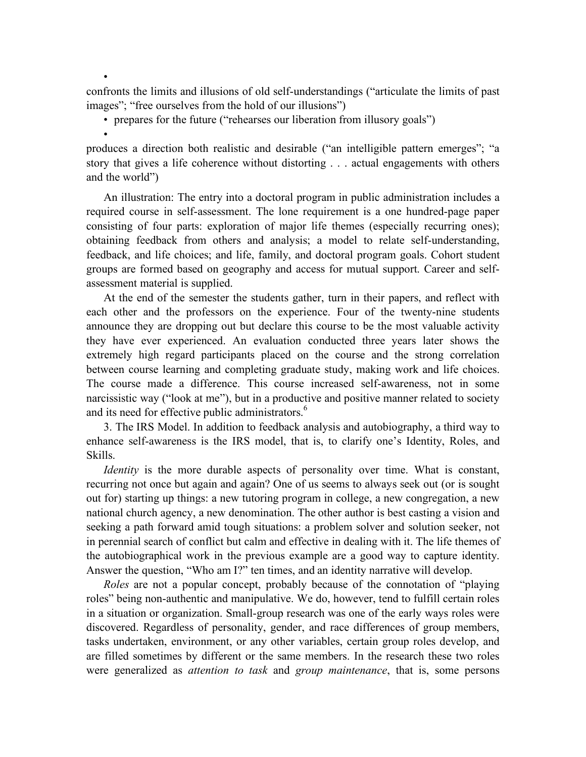confronts the limits and illusions of old self-understandings ("articulate the limits of past images"; "free ourselves from the hold of our illusions")

• prepares for the future ("rehearses our liberation from illusory goals")

•

•

produces a direction both realistic and desirable ("an intelligible pattern emerges"; "a story that gives a life coherence without distorting . . . actual engagements with others and the world")

An illustration: The entry into a doctoral program in public administration includes a required course in self-assessment. The lone requirement is a one hundred-page paper consisting of four parts: exploration of major life themes (especially recurring ones); obtaining feedback from others and analysis; a model to relate self-understanding, feedback, and life choices; and life, family, and doctoral program goals. Cohort student groups are formed based on geography and access for mutual support. Career and selfassessment material is supplied.

At the end of the semester the students gather, turn in their papers, and reflect with each other and the professors on the experience. Four of the twenty-nine students announce they are dropping out but declare this course to be the most valuable activity they have ever experienced. An evaluation conducted three years later shows the extremely high regard participants placed on the course and the strong correlation between course learning and completing graduate study, making work and life choices. The course made a difference. This course increased self-awareness, not in some narcissistic way ("look at me"), but in a productive and positive manner related to society and its need for effective public administrators.<sup>6</sup>

3. The IRS Model. In addition to feedback analysis and autobiography, a third way to enhance self-awareness is the IRS model, that is, to clarify one's Identity, Roles, and Skills.

*Identity* is the more durable aspects of personality over time. What is constant, recurring not once but again and again? One of us seems to always seek out (or is sought out for) starting up things: a new tutoring program in college, a new congregation, a new national church agency, a new denomination. The other author is best casting a vision and seeking a path forward amid tough situations: a problem solver and solution seeker, not in perennial search of conflict but calm and effective in dealing with it. The life themes of the autobiographical work in the previous example are a good way to capture identity. Answer the question, "Who am I?" ten times, and an identity narrative will develop.

*Roles* are not a popular concept, probably because of the connotation of "playing roles" being non-authentic and manipulative. We do, however, tend to fulfill certain roles in a situation or organization. Small-group research was one of the early ways roles were discovered. Regardless of personality, gender, and race differences of group members, tasks undertaken, environment, or any other variables, certain group roles develop, and are filled sometimes by different or the same members. In the research these two roles were generalized as *attention to task* and *group maintenance*, that is, some persons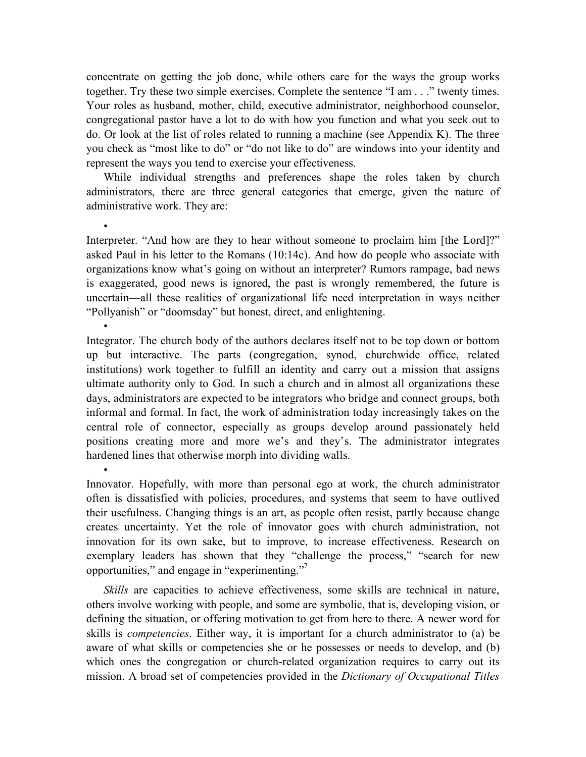concentrate on getting the job done, while others care for the ways the group works together. Try these two simple exercises. Complete the sentence "I am . . ." twenty times. Your roles as husband, mother, child, executive administrator, neighborhood counselor, congregational pastor have a lot to do with how you function and what you seek out to do. Or look at the list of roles related to running a machine (see Appendix K). The three you check as "most like to do" or "do not like to do" are windows into your identity and represent the ways you tend to exercise your effectiveness.

While individual strengths and preferences shape the roles taken by church administrators, there are three general categories that emerge, given the nature of administrative work. They are:

•

•

•

Interpreter. "And how are they to hear without someone to proclaim him [the Lord]?" asked Paul in his letter to the Romans (10:14c). And how do people who associate with organizations know what's going on without an interpreter? Rumors rampage, bad news is exaggerated, good news is ignored, the past is wrongly remembered, the future is uncertain—all these realities of organizational life need interpretation in ways neither "Pollyanish" or "doomsday" but honest, direct, and enlightening.

Integrator. The church body of the authors declares itself not to be top down or bottom up but interactive. The parts (congregation, synod, churchwide office, related institutions) work together to fulfill an identity and carry out a mission that assigns ultimate authority only to God. In such a church and in almost all organizations these days, administrators are expected to be integrators who bridge and connect groups, both informal and formal. In fact, the work of administration today increasingly takes on the central role of connector, especially as groups develop around passionately held positions creating more and more we's and they's. The administrator integrates hardened lines that otherwise morph into dividing walls.

Innovator. Hopefully, with more than personal ego at work, the church administrator often is dissatisfied with policies, procedures, and systems that seem to have outlived their usefulness. Changing things is an art, as people often resist, partly because change creates uncertainty. Yet the role of innovator goes with church administration, not innovation for its own sake, but to improve, to increase effectiveness. Research on exemplary leaders has shown that they "challenge the process," "search for new opportunities," and engage in "experimenting."<sup>7</sup>

*Skills* are capacities to achieve effectiveness, some skills are technical in nature, others involve working with people, and some are symbolic, that is, developing vision, or defining the situation, or offering motivation to get from here to there. A newer word for skills is *competencies*. Either way, it is important for a church administrator to (a) be aware of what skills or competencies she or he possesses or needs to develop, and (b) which ones the congregation or church-related organization requires to carry out its mission. A broad set of competencies provided in the *Dictionary of Occupational Titles*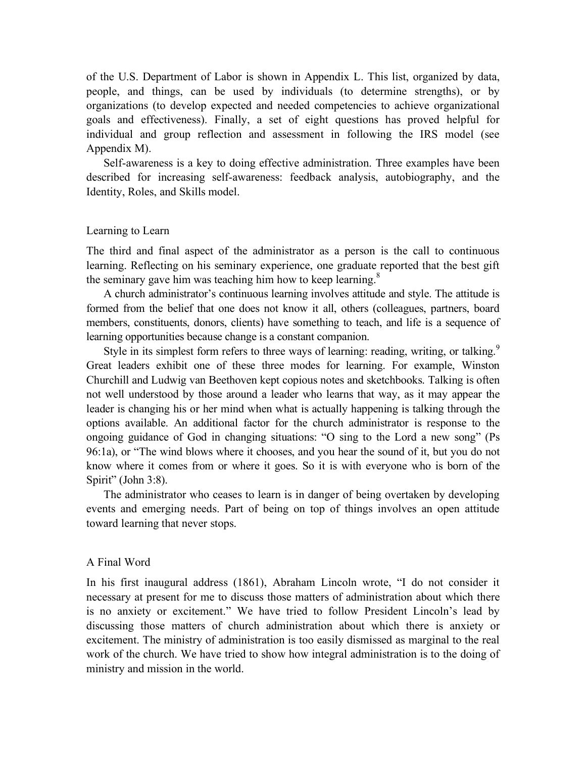of the U.S. Department of Labor is shown in Appendix L. This list, organized by data, people, and things, can be used by individuals (to determine strengths), or by organizations (to develop expected and needed competencies to achieve organizational goals and effectiveness). Finally, a set of eight questions has proved helpful for individual and group reflection and assessment in following the IRS model (see Appendix M).

Self-awareness is a key to doing effective administration. Three examples have been described for increasing self-awareness: feedback analysis, autobiography, and the Identity, Roles, and Skills model.

# Learning to Learn

The third and final aspect of the administrator as a person is the call to continuous learning. Reflecting on his seminary experience, one graduate reported that the best gift the seminary gave him was teaching him how to keep learning.<sup>8</sup>

A church administrator's continuous learning involves attitude and style. The attitude is formed from the belief that one does not know it all, others (colleagues, partners, board members, constituents, donors, clients) have something to teach, and life is a sequence of learning opportunities because change is a constant companion.

Style in its simplest form refers to three ways of learning: reading, writing, or talking.<sup>9</sup> Great leaders exhibit one of these three modes for learning. For example, Winston Churchill and Ludwig van Beethoven kept copious notes and sketchbooks. Talking is often not well understood by those around a leader who learns that way, as it may appear the leader is changing his or her mind when what is actually happening is talking through the options available. An additional factor for the church administrator is response to the ongoing guidance of God in changing situations: "O sing to the Lord a new song" (Ps 96:1a), or "The wind blows where it chooses, and you hear the sound of it, but you do not know where it comes from or where it goes. So it is with everyone who is born of the Spirit" (John 3:8).

The administrator who ceases to learn is in danger of being overtaken by developing events and emerging needs. Part of being on top of things involves an open attitude toward learning that never stops.

#### A Final Word

In his first inaugural address (1861), Abraham Lincoln wrote, "I do not consider it necessary at present for me to discuss those matters of administration about which there is no anxiety or excitement." We have tried to follow President Lincoln's lead by discussing those matters of church administration about which there is anxiety or excitement. The ministry of administration is too easily dismissed as marginal to the real work of the church. We have tried to show how integral administration is to the doing of ministry and mission in the world.